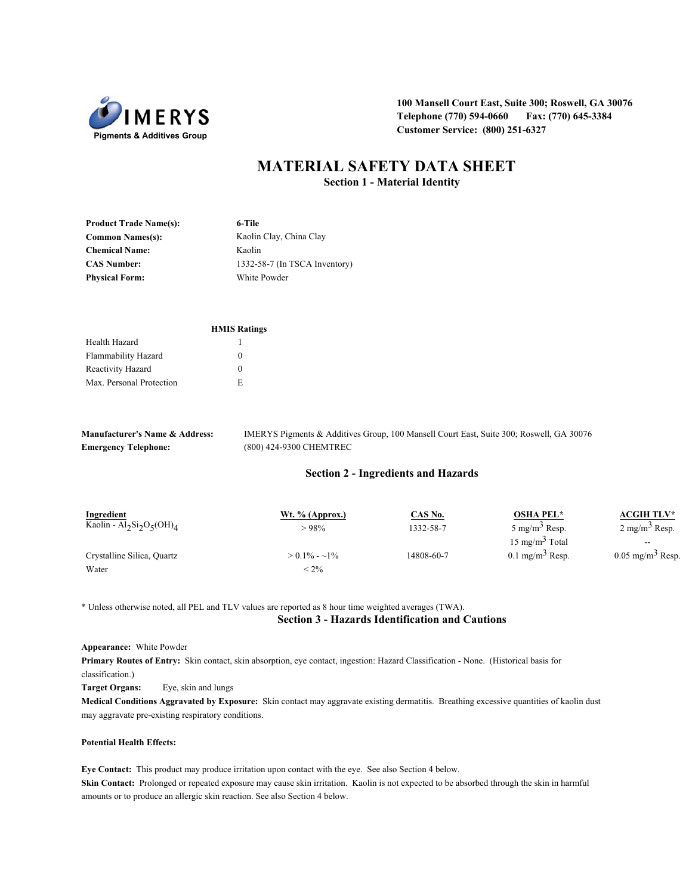

**100 Mansell Court East, Suite 300; Roswell, GA 30076 Telephone (770) 594-0660 Fax: (770) 645-3384 Customer Service: (800) 251-6327** 

# **MATERIAL SAFETY DATA SHEET Section 1 - Material Identity**

| <b>Product Trade Name(s):</b> | 6-Tile                        |
|-------------------------------|-------------------------------|
| <b>Common Names(s):</b>       | Kaolin Clay, China Clay       |
| <b>Chemical Name:</b>         | Kaolin                        |
| <b>CAS Number:</b>            | 1332-58-7 (In TSCA Inventory) |
| <b>Physical Form:</b>         | White Powder                  |

|                            | <b>HMIS Ratings</b> |
|----------------------------|---------------------|
| Health Hazard              |                     |
| <b>Flammability Hazard</b> | $\Omega$            |
| Reactivity Hazard          | $\Omega$            |
| Max. Personal Protection   | E                   |
|                            |                     |

| <b>Manufacturer's Name &amp; Address:</b> | IMERYS Pigments & Additives Group, 100 Mansell Court East, Suite 300; Roswell, GA 30076 |
|-------------------------------------------|-----------------------------------------------------------------------------------------|
| <b>Emergency Telephone:</b>               | (800) 424-9300 CHEMTREC                                                                 |

### **Section 2 - Ingredients and Hazards**

| Ingredient                                                                | Wt. $%$ (Approx.) | <u>CAS No.</u> | <b>OSHA PEL*</b>              | <b>ACGIH TLV*</b>              |
|---------------------------------------------------------------------------|-------------------|----------------|-------------------------------|--------------------------------|
| Kaolin - Al <sub>2</sub> Si <sub>2</sub> O <sub>5</sub> (OH) <sub>4</sub> | >98%              | 1332-58-7      | $5 \text{ mg/m}^3$ Resp.      | $2 \text{ mg/m}^3$ Resp.       |
|                                                                           |                   |                | $15 \text{ mg/m}^3$ Total     | $\hspace{0.05cm}$              |
| Crystalline Silica, Quartz                                                | $> 0.1\% - 1\%$   | 14808-60-7     | $0.1$ mg/m <sup>3</sup> Resp. | $0.05$ mg/m <sup>3</sup> Resp. |
| Water                                                                     | $< 2\%$           |                |                               |                                |

\* Unless otherwise noted, all PEL and TLV values are reported as 8 hour time weighted averages (TWA).

## **Section 3 - Hazards Identification and Cautions**

#### **Appearance:** White Powder

**Primary Routes of Entry:** Skin contact, skin absorption, eye contact, ingestion: Hazard Classification - None. (Historical basis for classification.)

**Target Organs:** Eye, skin and lungs

**Medical Conditions Aggravated by Exposure:** Skin contact may aggravate existing dermatitis. Breathing excessive quantities of kaolin dust may aggravate pre-existing respiratory conditions.

#### **Potential Health Effects:**

**Eye Contact:** This product may produce irritation upon contact with the eye. See also Section 4 below. **Skin Contact:** Prolonged or repeated exposure may cause skin irritation. Kaolin is not expected to be absorbed through the skin in harmful amounts or to produce an allergic skin reaction. See also Section 4 below.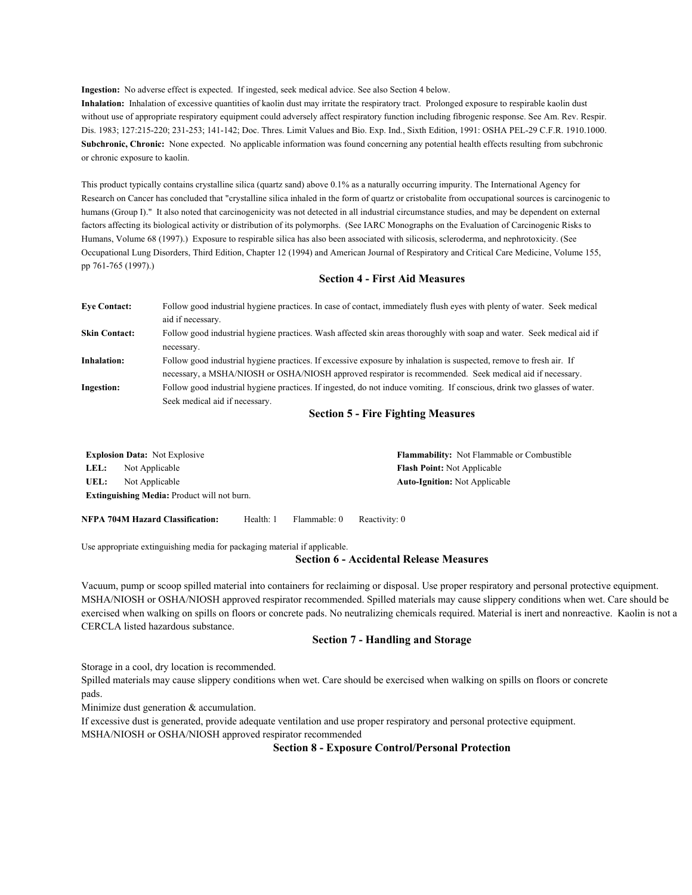**Ingestion:** No adverse effect is expected. If ingested, seek medical advice. See also Section 4 below.

**Inhalation:** Inhalation of excessive quantities of kaolin dust may irritate the respiratory tract. Prolonged exposure to respirable kaolin dust without use of appropriate respiratory equipment could adversely affect respiratory function including fibrogenic response. See Am. Rev. Respir. Dis. 1983; 127:215-220; 231-253; 141-142; Doc. Thres. Limit Values and Bio. Exp. Ind., Sixth Edition, 1991: OSHA PEL-29 C.F.R. 1910.1000. **Subchronic, Chronic:** None expected. No applicable information was found concerning any potential health effects resulting from subchronic or chronic exposure to kaolin.

This product typically contains crystalline silica (quartz sand) above 0.1% as a naturally occurring impurity. The International Agency for Research on Cancer has concluded that "crystalline silica inhaled in the form of quartz or cristobalite from occupational sources is carcinogenic to humans (Group I)." It also noted that carcinogenicity was not detected in all industrial circumstance studies, and may be dependent on external factors affecting its biological activity or distribution of its polymorphs. (See IARC Monographs on the Evaluation of Carcinogenic Risks to Humans, Volume 68 (1997).) Exposure to respirable silica has also been associated with silicosis, scleroderma, and nephrotoxicity. (See Occupational Lung Disorders, Third Edition, Chapter 12 (1994) and American Journal of Respiratory and Critical Care Medicine, Volume 155, pp 761-765 (1997).)

## **Section 4 - First Aid Measures**

| <b>Eve Contact:</b>  | Follow good industrial hygiene practices. In case of contact, immediately flush eyes with plenty of water. Seek medical  |
|----------------------|--------------------------------------------------------------------------------------------------------------------------|
|                      | aid if necessary.                                                                                                        |
| <b>Skin Contact:</b> | Follow good industrial hygiene practices. Wash affected skin areas thoroughly with soap and water. Seek medical aid if   |
|                      | necessary.                                                                                                               |
| <b>Inhalation:</b>   | Follow good industrial hygiene practices. If excessive exposure by inhalation is suspected, remove to fresh air. If      |
|                      | necessary, a MSHA/NIOSH or OSHA/NIOSH approved respirator is recommended. Seek medical aid if necessary.                 |
| <b>Ingestion:</b>    | Follow good industrial hygiene practices. If ingested, do not induce vomiting. If conscious, drink two glasses of water. |
|                      | Seek medical aid if necessary.                                                                                           |
|                      |                                                                                                                          |

### **Section 5 - Fire Fighting Measures**

|      | <b>Explosion Data:</b> Not Explosive               | <b>Flammability:</b> Not Flammable or Combustible |
|------|----------------------------------------------------|---------------------------------------------------|
| LEL: | Not Applicable                                     | <b>Flash Point:</b> Not Applicable                |
| UEL: | Not Applicable                                     | <b>Auto-Ignition:</b> Not Applicable              |
|      | <b>Extinguishing Media:</b> Product will not burn. |                                                   |
|      |                                                    |                                                   |

**NFPA 704M Hazard Classification:** Health: 1 Flammable: 0 Reactivity: 0

Use appropriate extinguishing media for packaging material if applicable.

#### **Section 6 - Accidental Release Measures**

Vacuum, pump or scoop spilled material into containers for reclaiming or disposal. Use proper respiratory and personal protective equipment. MSHA/NIOSH or OSHA/NIOSH approved respirator recommended. Spilled materials may cause slippery conditions when wet. Care should be exercised when walking on spills on floors or concrete pads. No neutralizing chemicals required. Material is inert and nonreactive. Kaolin is not a CERCLA listed hazardous substance.

## **Section 7 - Handling and Storage**

Storage in a cool, dry location is recommended.

Spilled materials may cause slippery conditions when wet. Care should be exercised when walking on spills on floors or concrete pads.

Minimize dust generation & accumulation.

If excessive dust is generated, provide adequate ventilation and use proper respiratory and personal protective equipment. MSHA/NIOSH or OSHA/NIOSH approved respirator recommended

**Section 8 - Exposure Control/Personal Protection**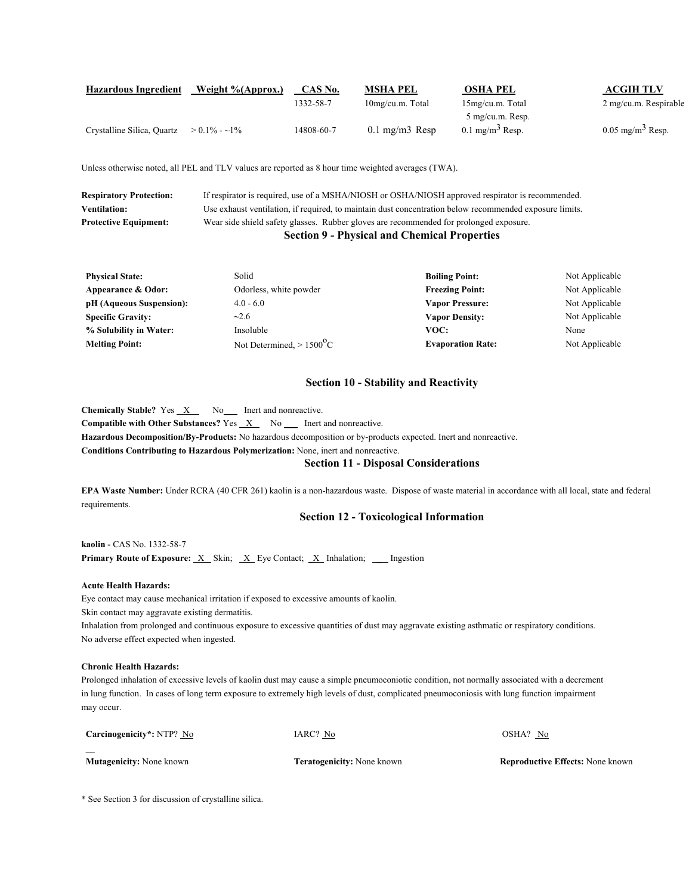| <b>Hazardous Ingredient</b> | Weight %(Approx.) | CAS No.    | MSHA PEL                  | <b>OSHA PEL</b>            | <b>ACGIH TLV</b>               |
|-----------------------------|-------------------|------------|---------------------------|----------------------------|--------------------------------|
|                             |                   | 1332-58-7  | 10mg/cu.m. Total          | 15mg/cu.m. Total           | 2 mg/cu.m. Respirable          |
|                             |                   |            |                           | 5 mg/cu.m. Resp.           |                                |
| Crystalline Silica, Quartz  | $> 0.1\% - 1\%$   | 14808-60-7 | $0.1 \text{ mg/m}$ 3 Resp | $0.1 \text{ mg/m}^3$ Resp. | $0.05$ mg/m <sup>3</sup> Resp. |

Unless otherwise noted, all PEL and TLV values are reported as 8 hour time weighted averages (TWA).

| <b>Respiratory Protection:</b> | If respirator is required, use of a MSHA/NIOSH or OSHA/NIOSH approved respirator is recommended.        |
|--------------------------------|---------------------------------------------------------------------------------------------------------|
| <b>Ventilation:</b>            | Use exhaust ventilation, if required, to maintain dust concentration below recommended exposure limits. |
| <b>Protective Equipment:</b>   | Wear side shield safety glasses. Rubber gloves are recommended for prolonged exposure.                  |
|                                | <b>Section 9 - Physical and Chemical Properties</b>                                                     |

| <b>Physical State:</b>   | Solid                                   | <b>Boiling Point:</b>    | Not Applicable |
|--------------------------|-----------------------------------------|--------------------------|----------------|
| Appearance & Odor:       | Odorless, white powder                  | <b>Freezing Point:</b>   | Not Applicable |
| pH (Aqueous Suspension): | $4.0 - 6.0$                             | <b>Vapor Pressure:</b>   | Not Applicable |
| <b>Specific Gravity:</b> | $-2.6$                                  | <b>Vapor Density:</b>    | Not Applicable |
| % Solubility in Water:   | Insoluble                               | VOC:                     | None           |
| <b>Melting Point:</b>    | Not Determined, $> 1500$ <sup>o</sup> C | <b>Evaporation Rate:</b> | Not Applicable |

## **Section 10 - Stability and Reactivity**

**Chemically Stable?** Yes  $X$  No<sub>ll</sub> Inert and nonreactive. **Compatible with Other Substances?** Yes  $X$  No Let and nonreactive. **Hazardous Decomposition/By-Products:** No hazardous decomposition or by-products expected. Inert and nonreactive. **Conditions Contributing to Hazardous Polymerization:** None, inert and nonreactive.

## **Section 11 - Disposal Considerations**

**EPA Waste Number:** Under RCRA (40 CFR 261) kaolin is a non-hazardous waste. Dispose of waste material in accordance with all local, state and federal requirements.

## **Section 12 - Toxicological Information**

**kaolin -** CAS No. 1332-58-7 **Primary Route of Exposure:** <u>X</u> Skin; <u>X</u> Eye Contact; <u>X</u> Inhalation; \_\_ Ingestion

### **Acute Health Hazards:**

Eye contact may cause mechanical irritation if exposed to excessive amounts of kaolin.

Skin contact may aggravate existing dermatitis.

Inhalation from prolonged and continuous exposure to excessive quantities of dust may aggravate existing asthmatic or respiratory conditions. No adverse effect expected when ingested.

### **Chronic Health Hazards:**

Prolonged inhalation of excessive levels of kaolin dust may cause a simple pneumoconiotic condition, not normally associated with a decrement in lung function. In cases of long term exposure to extremely high levels of dust, complicated pneumoconiosis with lung function impairment may occur.

| $\overline{\phantom{a}}$        |                                   |                                         |
|---------------------------------|-----------------------------------|-----------------------------------------|
| <b>Mutagenicity:</b> None known | <b>Teratogenicity:</b> None known | <b>Reproductive Effects: None known</b> |

\* See Section 3 for discussion of crystalline silica.